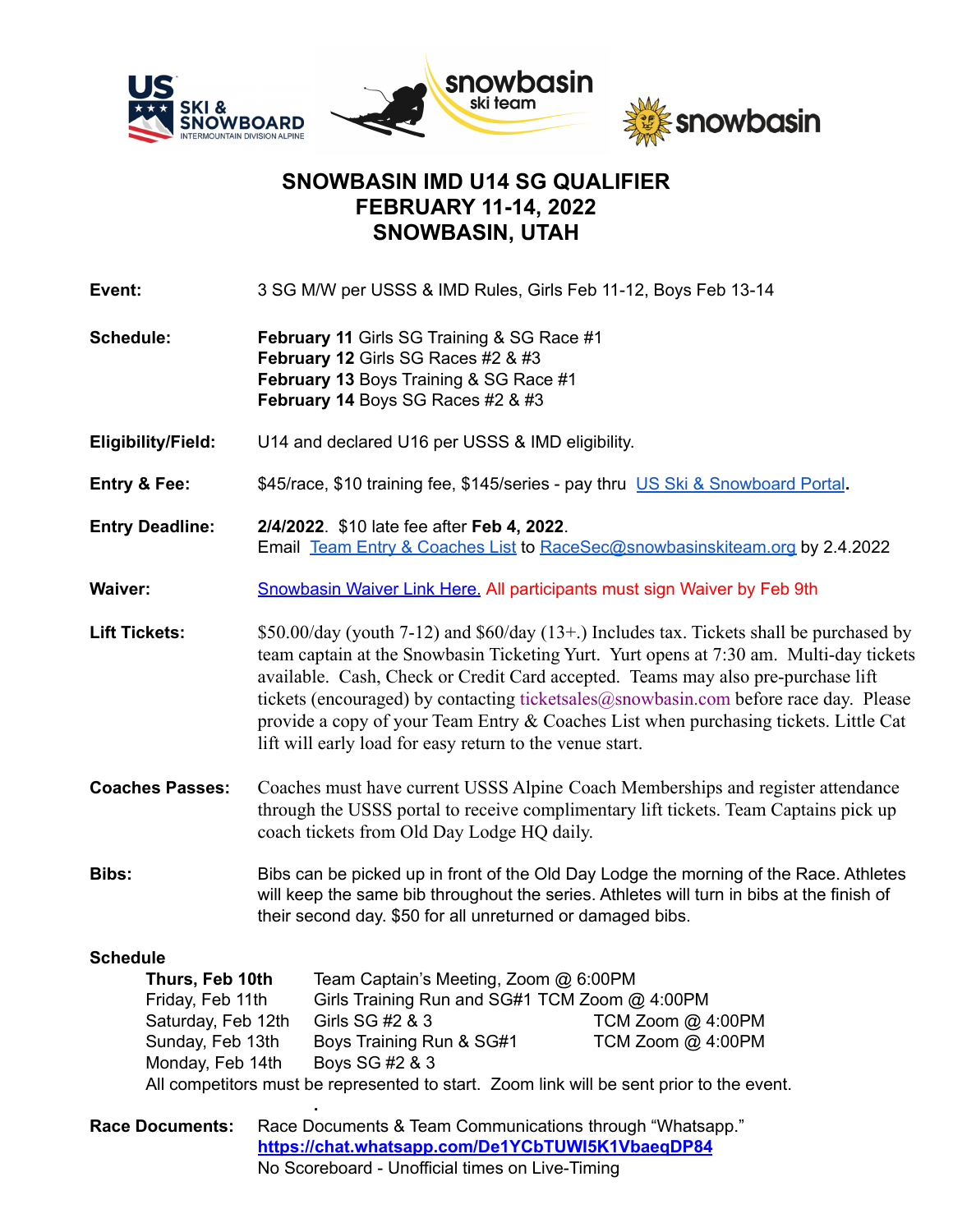

## **SNOWBASIN IMD U14 SG QUALIFIER FEBRUARY 11-14, 2022 SNOWBASIN, UTAH**

**Event:** 3 SG M/W per USSS & IMD Rules, Girls Feb 11-12, Boys Feb 13-14

**Schedule: February 11** Girls SG Training & SG Race #1 **February 12** Girls SG Races #2 & #3 **February 13** Boys Training & SG Race #1 **February 14** Boys SG Races #2 & #3

**Eligibility/Field:** U14 and declared U16 per USSS & IMD eligibility.

- **Entry & Fee:** \$45/race, \$10 training fee, \$145/series pay thru US Ski & [Snowboard](https://my.usskiandsnowboard.org/myussa) Portal**.**
- **Entry Deadline: 2/4/2022**. \$10 late fee after **Feb 4, 2022**. Email Team Entry & [Coaches](https://docs.google.com/spreadsheets/d/1mDAPZhgHNX9qXhW2SkyGu6n6pYxyenbd/edit?usp=sharing&ouid=104819393473374119599&rtpof=true&sd=true) List to [RaceSec@snowbasinskiteam.org](mailto:RaceSec@snowbasinskiteam.org) by 2.4.2022
- **Waiver:** [Snowbasin](https://my.1risk.net/1waiverKioskv2/sign?a=aHR0cHM6Ly9teS4xcmlzay5uZXQvc25vd2Jhc2luYXBpfDI1ODEwZjI0NDAzZjRmY2Y5NjgyYTE4MGNkMjRhNWY3fDQ2) Waiver Link Here. All participants must sign Waiver by Feb 9th

**Lift Tickets:** \$50.00/day (youth 7-12) and \$60/day (13+.) Includes tax. Tickets shall be purchased by team captain at the Snowbasin Ticketing Yurt. Yurt opens at 7:30 am. Multi-day tickets available. Cash, Check or Credit Card accepted. Teams may also pre-purchase lift tickets (encouraged) by contacting ticketsales@snowbasin.com before race day. Please provide a copy of your Team Entry & Coaches List when purchasing tickets. Little Cat lift will early load for easy return to the venue start.

- **Coaches Passes:** Coaches must have current USSS Alpine Coach Memberships and register attendance through the USSS portal to receive complimentary lift tickets. Team Captains pick up coach tickets from Old Day Lodge HQ daily.
- **Bibs:** Bibs can be picked up in front of the Old Day Lodge the morning of the Race. Athletes will keep the same bib throughout the series. Athletes will turn in bibs at the finish of their second day. \$50 for all unreturned or damaged bibs.

## **Schedule**

| Thurs, Feb 10th                                                                          | Team Captain's Meeting, Zoom @ 6:00PM         |                   |  |
|------------------------------------------------------------------------------------------|-----------------------------------------------|-------------------|--|
| Friday, Feb 11th                                                                         | Girls Training Run and SG#1 TCM Zoom @ 4:00PM |                   |  |
| Saturday, Feb 12th                                                                       | Girls SG #2 & 3                               | TCM Zoom @ 4:00PM |  |
| Sunday, Feb 13th                                                                         | Boys Training Run & SG#1                      | TCM Zoom @ 4:00PM |  |
| Monday, Feb 14th                                                                         | Boys SG #2 & 3                                |                   |  |
| All competitors must be represented to start. Zoom link will be sent prior to the event. |                                               |                   |  |

**. Race Documents:** Race Documents & Team Communications through "Whatsapp." **<https://chat.whatsapp.com/De1YCbTUWI5K1VbaeqDP84>** No Scoreboard - Unofficial times on Live-Timing